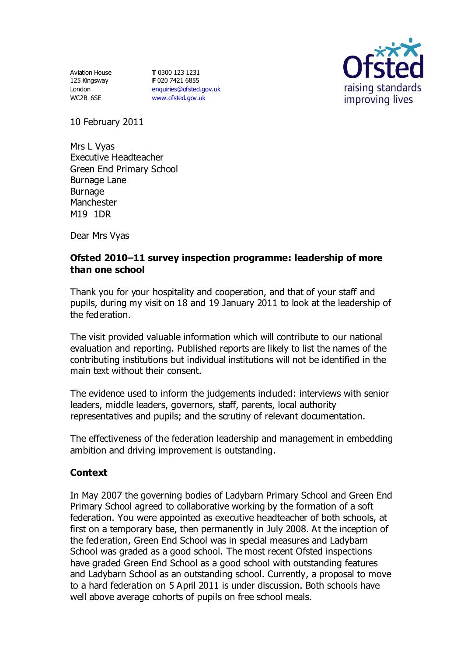Aviation House 125 Kingsway London WC2B 6SE

**T** 0300 123 1231 **F** 020 7421 6855 [enquiries@ofsted.gov.uk](mailto:enquiries@ofsted.gov.uk) [www.ofsted.gov.uk](http://www.ofsted.gov.uk/)



10 February 2011

Mrs L Vyas Executive Headteacher Green End Primary School Burnage Lane Burnage Manchester M19 1DR

Dear Mrs Vyas

## **Ofsted 2010–11 survey inspection programme: leadership of more than one school**

Thank you for your hospitality and cooperation, and that of your staff and pupils, during my visit on 18 and 19 January 2011 to look at the leadership of the federation.

The visit provided valuable information which will contribute to our national evaluation and reporting. Published reports are likely to list the names of the contributing institutions but individual institutions will not be identified in the main text without their consent.

The evidence used to inform the judgements included: interviews with senior leaders, middle leaders, governors, staff, parents, local authority representatives and pupils; and the scrutiny of relevant documentation.

The effectiveness of the federation leadership and management in embedding ambition and driving improvement is outstanding.

### **Context**

In May 2007 the governing bodies of Ladybarn Primary School and Green End Primary School agreed to collaborative working by the formation of a soft federation. You were appointed as executive headteacher of both schools, at first on a temporary base, then permanently in July 2008. At the inception of the federation, Green End School was in special measures and Ladybarn School was graded as a good school. The most recent Ofsted inspections have graded Green End School as a good school with outstanding features and Ladybarn School as an outstanding school. Currently, a proposal to move to a hard federation on 5 April 2011 is under discussion. Both schools have well above average cohorts of pupils on free school meals.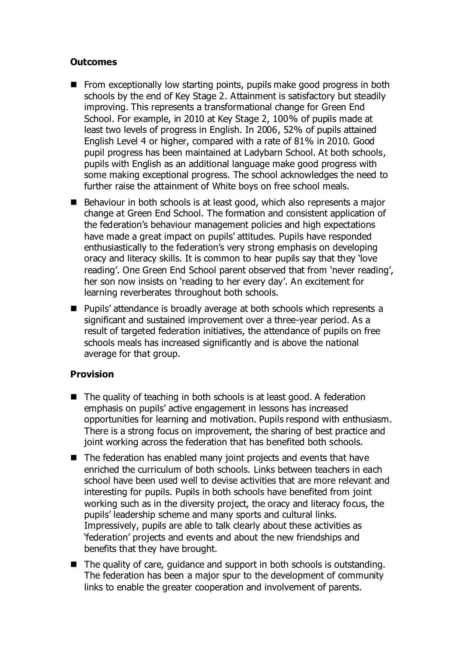## **Outcomes**

- From exceptionally low starting points, pupils make good progress in both schools by the end of Key Stage 2. Attainment is satisfactory but steadily improving. This represents a transformational change for Green End School. For example, in 2010 at Key Stage 2, 100% of pupils made at least two levels of progress in English. In 2006, 52% of pupils attained English Level 4 or higher, compared with a rate of 81% in 2010. Good pupil progress has been maintained at Ladybarn School. At both schools, pupils with English as an additional language make good progress with some making exceptional progress. The school acknowledges the need to further raise the attainment of White boys on free school meals.
- Behaviour in both schools is at least good, which also represents a major change at Green End School. The formation and consistent application of the federation's behaviour management policies and high expectations have made a great impact on pupils' attitudes. Pupils have responded enthusiastically to the federation's very strong emphasis on developing oracy and literacy skills. It is common to hear pupils say that they 'love reading'. One Green End School parent observed that from 'never reading', her son now insists on 'reading to her every day'. An excitement for learning reverberates throughout both schools.
- Pupils' attendance is broadly average at both schools which represents a significant and sustained improvement over a three-year period. As a result of targeted federation initiatives, the attendance of pupils on free schools meals has increased significantly and is above the national average for that group.

# **Provision**

- The quality of teaching in both schools is at least good. A federation emphasis on pupils' active engagement in lessons has increased opportunities for learning and motivation. Pupils respond with enthusiasm. There is a strong focus on improvement, the sharing of best practice and joint working across the federation that has benefited both schools.
- The federation has enabled many joint projects and events that have enriched the curriculum of both schools. Links between teachers in each school have been used well to devise activities that are more relevant and interesting for pupils. Pupils in both schools have benefited from joint working such as in the diversity project, the oracy and literacy focus, the pupils' leadership scheme and many sports and cultural links. Impressively, pupils are able to talk clearly about these activities as 'federation' projects and events and about the new friendships and benefits that they have brought.
- The quality of care, guidance and support in both schools is outstanding. The federation has been a major spur to the development of community links to enable the greater cooperation and involvement of parents.